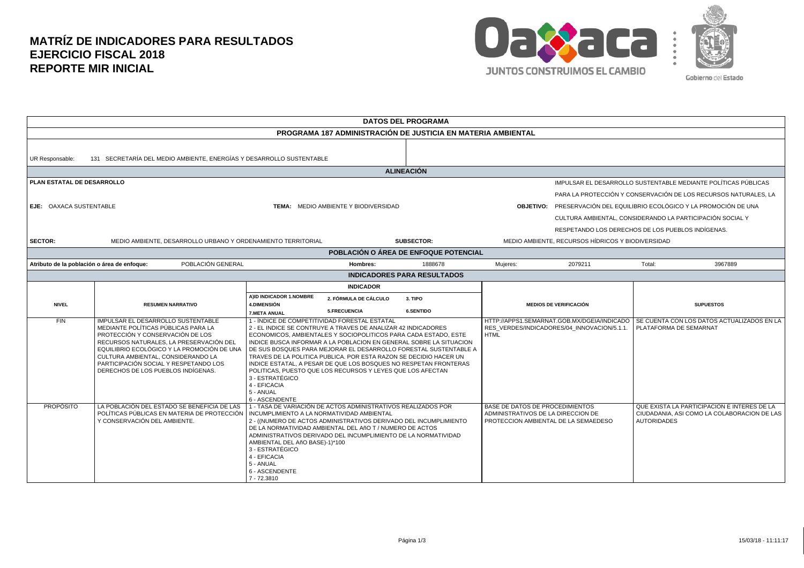## **MATRÍZ DE INDICADORES PARA RESULTADOS EJERCICIO FISCAL 2018 REPORTE MIR INICIAL**



| <b>DATOS DEL PROGRAMA</b>                                                               |                                                                                                                                                                                                                                                                                                                             |                                                                                                                                                                                                                                                                                                                                                                                                                                                                                                                                                                                                      |                                                              |                                                                                                               |                                                           |                                                                |                                                                                            |
|-----------------------------------------------------------------------------------------|-----------------------------------------------------------------------------------------------------------------------------------------------------------------------------------------------------------------------------------------------------------------------------------------------------------------------------|------------------------------------------------------------------------------------------------------------------------------------------------------------------------------------------------------------------------------------------------------------------------------------------------------------------------------------------------------------------------------------------------------------------------------------------------------------------------------------------------------------------------------------------------------------------------------------------------------|--------------------------------------------------------------|---------------------------------------------------------------------------------------------------------------|-----------------------------------------------------------|----------------------------------------------------------------|--------------------------------------------------------------------------------------------|
|                                                                                         |                                                                                                                                                                                                                                                                                                                             |                                                                                                                                                                                                                                                                                                                                                                                                                                                                                                                                                                                                      | PROGRAMA 187 ADMINISTRACIÓN DE JUSTICIA EN MATERIA AMBIENTAL |                                                                                                               |                                                           |                                                                |                                                                                            |
| 131 SECRETARÍA DEL MEDIO AMBIENTE, ENERGÍAS Y DESARROLLO SUSTENTABLE<br>UR Responsable: |                                                                                                                                                                                                                                                                                                                             |                                                                                                                                                                                                                                                                                                                                                                                                                                                                                                                                                                                                      |                                                              |                                                                                                               |                                                           |                                                                |                                                                                            |
|                                                                                         |                                                                                                                                                                                                                                                                                                                             |                                                                                                                                                                                                                                                                                                                                                                                                                                                                                                                                                                                                      | <b>ALINEACIÓN</b>                                            |                                                                                                               |                                                           |                                                                |                                                                                            |
| PLAN ESTATAL DE DESARROLLO                                                              |                                                                                                                                                                                                                                                                                                                             |                                                                                                                                                                                                                                                                                                                                                                                                                                                                                                                                                                                                      |                                                              |                                                                                                               |                                                           | IMPULSAR EL DESARROLLO SUSTENTABLE MEDIANTE POLÍTICAS PÚBLICAS |                                                                                            |
|                                                                                         |                                                                                                                                                                                                                                                                                                                             |                                                                                                                                                                                                                                                                                                                                                                                                                                                                                                                                                                                                      |                                                              |                                                                                                               |                                                           |                                                                | PARA LA PROTECCIÓN Y CONSERVACIÓN DE LOS RECURSOS NATURALES, LA                            |
| <b>EJE: OAXACA SUSTENTABLE</b>                                                          |                                                                                                                                                                                                                                                                                                                             | TEMA: MEDIO AMBIENTE Y BIODIVERSIDAD                                                                                                                                                                                                                                                                                                                                                                                                                                                                                                                                                                 |                                                              | <b>OBJETIVO:</b> PRESERVACIÓN DEL EQUILIBRIO ECOLÓGICO Y LA PROMOCIÓN DE UNA                                  |                                                           |                                                                |                                                                                            |
|                                                                                         |                                                                                                                                                                                                                                                                                                                             |                                                                                                                                                                                                                                                                                                                                                                                                                                                                                                                                                                                                      |                                                              |                                                                                                               | CULTURA AMBIENTAL. CONSIDERANDO LA PARTICIPACIÓN SOCIAL Y |                                                                |                                                                                            |
|                                                                                         |                                                                                                                                                                                                                                                                                                                             |                                                                                                                                                                                                                                                                                                                                                                                                                                                                                                                                                                                                      |                                                              | RESPETANDO LOS DERECHOS DE LOS PUEBLOS INDÍGENAS.                                                             |                                                           |                                                                |                                                                                            |
| <b>SECTOR:</b>                                                                          | MEDIO AMBIENTE. DESARROLLO URBANO Y ORDENAMIENTO TERRITORIAL                                                                                                                                                                                                                                                                |                                                                                                                                                                                                                                                                                                                                                                                                                                                                                                                                                                                                      | <b>SUBSECTOR:</b>                                            |                                                                                                               | MEDIO AMBIENTE, RECURSOS HÍDRICOS Y BIODIVERSIDAD         |                                                                |                                                                                            |
|                                                                                         |                                                                                                                                                                                                                                                                                                                             |                                                                                                                                                                                                                                                                                                                                                                                                                                                                                                                                                                                                      | POBLACIÓN O ÁREA DE ENFOQUE POTENCIAL                        |                                                                                                               |                                                           |                                                                |                                                                                            |
| POBLACIÓN GENERAL<br>Atributo de la población o área de enfoque:                        |                                                                                                                                                                                                                                                                                                                             | Hombres:                                                                                                                                                                                                                                                                                                                                                                                                                                                                                                                                                                                             | 1888678                                                      | Muieres:                                                                                                      | 2079211                                                   | Total:                                                         | 3967889                                                                                    |
|                                                                                         |                                                                                                                                                                                                                                                                                                                             |                                                                                                                                                                                                                                                                                                                                                                                                                                                                                                                                                                                                      | <b>INDICADORES PARA RESULTADOS</b>                           |                                                                                                               |                                                           |                                                                |                                                                                            |
|                                                                                         |                                                                                                                                                                                                                                                                                                                             | <b>INDICADOR</b><br>A)ID INDICADOR 1.NOMBRE<br>2. FÓRMULA DE CÁLCULO<br>3. TIPO<br><b>4.DIMENSIÓN</b>                                                                                                                                                                                                                                                                                                                                                                                                                                                                                                |                                                              |                                                                                                               |                                                           |                                                                |                                                                                            |
| <b>NIVEL</b>                                                                            | <b>RESUMEN NARRATIVO</b>                                                                                                                                                                                                                                                                                                    |                                                                                                                                                                                                                                                                                                                                                                                                                                                                                                                                                                                                      |                                                              | <b>MEDIOS DE VERIFICACIÓN</b>                                                                                 |                                                           | <b>SUPUESTOS</b>                                               |                                                                                            |
|                                                                                         |                                                                                                                                                                                                                                                                                                                             | 5.FRECUENCIA<br><b>7.META ANUAL</b>                                                                                                                                                                                                                                                                                                                                                                                                                                                                                                                                                                  | <b>6.SENTIDO</b>                                             |                                                                                                               |                                                           |                                                                |                                                                                            |
| FIN                                                                                     | IMPULSAR EL DESARROLLO SUSTENTABLE<br>MEDIANTE POLÍTICAS PÚBLICAS PARA LA<br>PROTECCIÓN Y CONSERVACIÓN DE LOS<br>RECURSOS NATURALES. LA PRESERVACIÓN DEL<br>EQUILIBRIO ECOLÓGICO Y LA PROMOCIÓN DE UNA<br>CULTURA AMBIENTAL, CONSIDERANDO LA<br>PARTICIPACIÓN SOCIAL Y RESPETANDO LOS<br>DERECHOS DE LOS PUEBLOS INDÍGENAS. | 1 - ÍNDICE DE COMPETITIVIDAD FORESTAL ESTATAL<br>2 - EL INDICE SE CONTRUYE A TRAVES DE ANALIZAR 42 INDICADORES<br>ECONOMICOS, AMBIENTALES Y SOCIOPOLITICOS PARA CADA ESTADO, ESTE<br>INDICE BUSCA INFORMAR A LA POBLACION EN GENERAL SOBRE LA SITUACION<br>DE SUS BOSQUES PARA MEJORAR EL DESARROLLO FORESTAL SUSTENTABLE A<br>TRAVES DE LA POLITICA PUBLICA. POR ESTA RAZON SE DECIDIO HACER UN<br>INDICE ESTATAL. A PESAR DE QUE LOS BOSQUES NO RESPETAN FRONTERAS<br>POLITICAS, PUESTO QUE LOS RECURSOS Y LEYES QUE LOS AFECTAN<br>3 - ESTRATÉGICO<br>4 - EFICACIA<br>5 - ANUAL<br>6 - ASCENDENTE |                                                              | <b>HTML</b>                                                                                                   | RES VERDES/INDICADORES/04 INNOVACION/5.1.1.               | PLATAFORMA DE SEMARNAT                                         | HTTP://APPS1.SEMARNAT.GOB.MX/DGEIA/INDICADO   SE CUENTA CON LOS DATOS ACTUALIZADOS EN LA   |
| <b>PROPÓSITO</b>                                                                        | LA POBLACIÓN DEL ESTADO SE BENEFICIA DE LAS<br>POLÍTICAS PÚBLICAS EN MATERIA DE PROTECCIÓN<br>Y CONSERVACIÓN DEL AMBIENTE.                                                                                                                                                                                                  | 1 - TASA DE VARIACIÓN DE ACTOS ADMINISTRATIVOS REALIZADOS POR<br>INCUMPLIMIENTO A LA NORMATIVIDAD AMBIENTAL<br>2 - ((NUMERO DE ACTOS ADMINISTRATIVOS DERIVADO DEL INCUMPLIMIENTO<br>DE LA NORMATIVIDAD AMBIENTAL DEL AñO T / NUMERO DE ACTOS<br>ADMINISTRATIVOS DERIVADO DEL INCUMPLIMIENTO DE LA NORMATIVIDAD<br>AMBIENTAL DEL AñO BASE)-1)*100<br>3 - ESTRATÉGICO<br>4 - EFICACIA<br>5 - ANUAL<br>6 - ASCENDENTE<br>7 - 72.3810                                                                                                                                                                    |                                                              | BASE DE DATOS DE PROCEDIMIENTOS<br>ADMINISTRATIVOS DE LA DIRECCION DE<br>PROTECCION AMBIENTAL DE LA SEMAEDESO |                                                           | <b>AUTORIDADES</b>                                             | QUE EXISTA LA PARTICIPACION E INTERES DE LA<br>CIUDADANIA. ASI COMO LA COLABORACION DE LAS |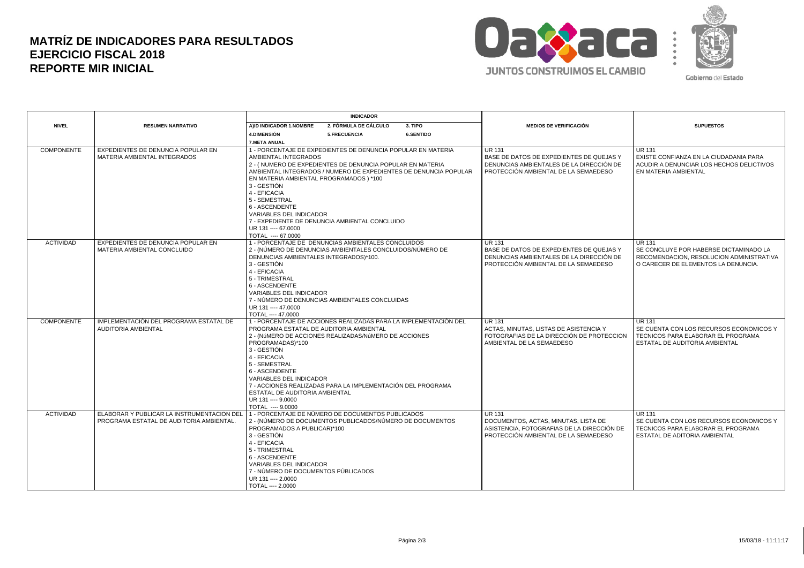## **MATRÍZ DE INDICADORES PARA RESULTADOS EJERCICIO FISCAL 2018 REPORTE MIR INICIAL**



|                   |                                                                                        | <b>INDICADOR</b>                                                                                                                                                                                                                                                                                                                                                                                                                         |                                                                                                                                               |                                                                                                                                            |
|-------------------|----------------------------------------------------------------------------------------|------------------------------------------------------------------------------------------------------------------------------------------------------------------------------------------------------------------------------------------------------------------------------------------------------------------------------------------------------------------------------------------------------------------------------------------|-----------------------------------------------------------------------------------------------------------------------------------------------|--------------------------------------------------------------------------------------------------------------------------------------------|
| <b>NIVEL</b>      | <b>RESUMEN NARRATIVO</b>                                                               | AIID INDICADOR 1.NOMBRE<br><b>2. FÓRMULA DE CÁLCULO</b><br>3. TIPO                                                                                                                                                                                                                                                                                                                                                                       | <b>MEDIOS DE VERIFICACIÓN</b>                                                                                                                 | <b>SUPUESTOS</b>                                                                                                                           |
|                   |                                                                                        | 4. DIMENSIÓN<br><b>6.SENTIDO</b><br>5.FRECUENCIA                                                                                                                                                                                                                                                                                                                                                                                         |                                                                                                                                               |                                                                                                                                            |
|                   |                                                                                        | <b>7.META ANUAL</b>                                                                                                                                                                                                                                                                                                                                                                                                                      |                                                                                                                                               |                                                                                                                                            |
| COMPONENTE        | EXPEDIENTES DE DENUNCIA POPULAR EN<br>MATERIA AMBIENTAL INTEGRADOS                     | 1 - PORCENTAJE DE EXPEDIENTES DE DENUNCIA POPULAR EN MATERIA<br>AMBIENTAL INTEGRADOS<br>2 - (NUMERO DE EXPEDIENTES DE DENUNCIA POPULAR EN MATERIA<br>AMBIENTAL INTEGRADOS / NUMERO DE EXPEDIENTES DE DENUNCIA POPULAR<br>EN MATERIA AMBIENTAL PROGRAMADOS ) *100                                                                                                                                                                         | <b>UR 131</b><br>BASE DE DATOS DE EXPEDIENTES DE QUEJAS Y<br>DENUNCIAS AMBIENTALES DE LA DIRECCIÓN DE<br>PROTECCIÓN AMBIENTAL DE LA SEMAEDESO | <b>UR 131</b><br>EXISTE CONFIANZA EN LA CIUDADANIA PARA<br>ACUDIR A DENUNCIAR LOS HECHOS DELICTIVOS<br>EN MATERIA AMBIENTAL                |
|                   |                                                                                        | 3 - GESTIÓN<br>4 - EFICACIA<br>5 - SEMESTRAL<br>6 - ASCENDENTE<br><b>VARIABLES DEL INDICADOR</b><br>7 - EXPEDIENTE DE DENUNCIA AMBIENTAL CONCLUIDO<br>UR 131 ---- 67,0000<br>TOTAL ---- 67,0000                                                                                                                                                                                                                                          |                                                                                                                                               |                                                                                                                                            |
| <b>ACTIVIDAD</b>  | EXPEDIENTES DE DENUNCIA POPULAR EN<br>MATERIA AMBIENTAL CONCLUIDO                      | 1 - PORCENTAJE DE DENUNCIAS AMBIENTALES CONCLUIDOS<br>2 - (NÚMERO DE DENUNCIAS AMBIENTALES CONCLUIDOS/NÚMERO DE<br>DENUNCIAS AMBIENTALES INTEGRADOS)*100.<br>3 - GESTIÓN                                                                                                                                                                                                                                                                 | <b>UR 131</b><br>BASE DE DATOS DE EXPEDIENTES DE QUEJAS Y<br>DENUNCIAS AMBIENTALES DE LA DIRECCIÓN DE<br>PROTECCIÓN AMBIENTAL DE LA SEMAEDESO | <b>UR 131</b><br>SE CONCLUYE POR HABERSE DICTAMINADO LA<br>RECOMENDACION, RESOLUCION ADMINISTRATIVA<br>O CARECER DE ELEMENTOS LA DENUNCIA. |
|                   |                                                                                        | 4 - EFICACIA<br>5 - TRIMESTRAL<br>6 - ASCENDENTE<br><b>VARIABLES DEL INDICADOR</b><br>7 - NÚMERO DE DENUNCIAS AMBIENTALES CONCLUIDAS<br>UR 131 ---- 47,0000<br>TOTAL ---- 47.0000                                                                                                                                                                                                                                                        |                                                                                                                                               |                                                                                                                                            |
| <b>COMPONENTE</b> | IMPLEMENTACIÓN DEL PROGRAMA ESTATAL DE<br>AUDITORIA AMBIENTAL                          | 1 - PORCENTAJE DE ACCIONES REALIZADAS PARA LA IMPLEMENTACIÓN DEL<br>PROGRAMA ESTATAL DE AUDITORIA AMBIENTAL<br>2 - (NÚMERO DE ACCIONES REALIZADAS/NÚMERO DE ACCIONES<br>PROGRAMADAS)*100<br>3 - GESTIÓN<br>4 - EFICACIA<br>5 - SEMESTRAL<br>6 - ASCENDENTE<br><b>VARIABLES DEL INDICADOR</b><br>7 - ACCIONES REALIZADAS PARA LA IMPLEMENTACIÓN DEL PROGRAMA<br>ESTATAL DE AUDITORIA AMBIENTAL<br>UR 131 ---- 9.0000<br>TOTAL ---- 9.0000 | <b>UR 131</b><br>ACTAS, MINUTAS, LISTAS DE ASISTENCIA Y<br>FOTOGRAFIAS DE LA DIRECCIÓN DE PROTECCION<br>AMBIENTAL DE LA SEMAEDESO             | <b>UR 131</b><br>SE CUENTA CON LOS RECURSOS ECONOMICOS Y<br>TECNICOS PARA ELABORAR EL PROGRAMA<br>ESTATAL DE AUDITORIA AMBIENTAL           |
| <b>ACTIVIDAD</b>  | ELABORAR Y PUBLICAR LA INSTRUMENTACION DEL<br>PROGRAMA ESTATAL DE AUDITORIA AMBIENTAL. | 1 - PORCENTAJE DE NÚMERO DE DOCUMENTOS PUBLICADOS<br>2 - (NÚMERO DE DOCUMENTOS PUBLICADOS/NÚMERO DE DOCUMENTOS<br>PROGRAMADOS A PUBLICAR)*100<br>3 - GESTIÓN<br>4 - EFICACIA<br>5 - TRIMESTRAL<br>6 - ASCENDENTE<br>VARIABLES DEL INDICADOR<br>7 - NÚMERO DE DOCUMENTOS PÚBLICADOS<br>UR 131 ---- 2.0000<br>TOTAL ---- 2.0000                                                                                                            | <b>UR 131</b><br>DOCUMENTOS, ACTAS, MINUTAS, LISTA DE<br>ASISTENCIA, FOTOGRAFIAS DE LA DIRECCIÓN DE<br>PROTECCIÓN AMBIENTAL DE LA SEMAEDESO   | <b>UR 131</b><br>SE CUENTA CON LOS RECURSOS ECONOMICOS Y<br>TECNICOS PARA ELABORAR EL PROGRAMA<br>ESTATAL DE ADITORIA AMBIENTAL            |